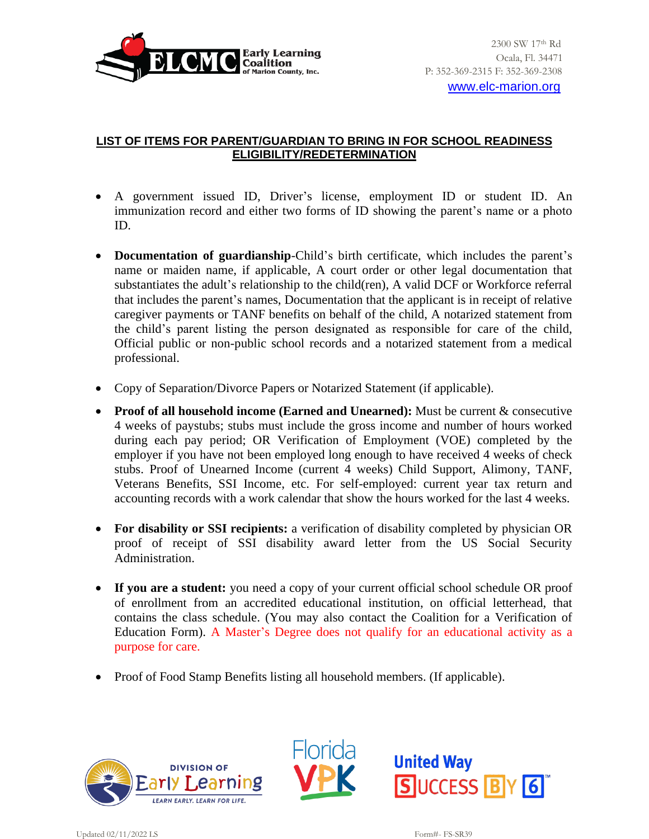

[www.elc-marion.org](http://www.elc-marion.org/)

## **LIST OF ITEMS FOR PARENT/GUARDIAN TO BRING IN FOR SCHOOL READINESS ELIGIBILITY/REDETERMINATION**

- A government issued ID, Driver's license, employment ID or student ID. An immunization record and either two forms of ID showing the parent's name or a photo ID.
- **Documentation of guardianship**-Child's birth certificate, which includes the parent's name or maiden name, if applicable, A court order or other legal documentation that substantiates the adult's relationship to the child(ren), A valid DCF or Workforce referral that includes the parent's names, Documentation that the applicant is in receipt of relative caregiver payments or TANF benefits on behalf of the child, A notarized statement from the child's parent listing the person designated as responsible for care of the child, Official public or non-public school records and a notarized statement from a medical professional.
- Copy of Separation/Divorce Papers or Notarized Statement (if applicable).
- **Proof of all household income (Earned and Unearned):** Must be current & consecutive 4 weeks of paystubs; stubs must include the gross income and number of hours worked during each pay period; OR Verification of Employment (VOE) completed by the employer if you have not been employed long enough to have received 4 weeks of check stubs. Proof of Unearned Income (current 4 weeks) Child Support, Alimony, TANF, Veterans Benefits, SSI Income, etc. For self-employed: current year tax return and accounting records with a work calendar that show the hours worked for the last 4 weeks.
- **For disability or SSI recipients:** a verification of disability completed by physician OR proof of receipt of SSI disability award letter from the US Social Security Administration.
- **If you are a student:** you need a copy of your current official school schedule OR proof of enrollment from an accredited educational institution, on official letterhead, that contains the class schedule. (You may also contact the Coalition for a Verification of Education Form). A Master's Degree does not qualify for an educational activity as a purpose for care.
- Proof of Food Stamp Benefits listing all household members. (If applicable).